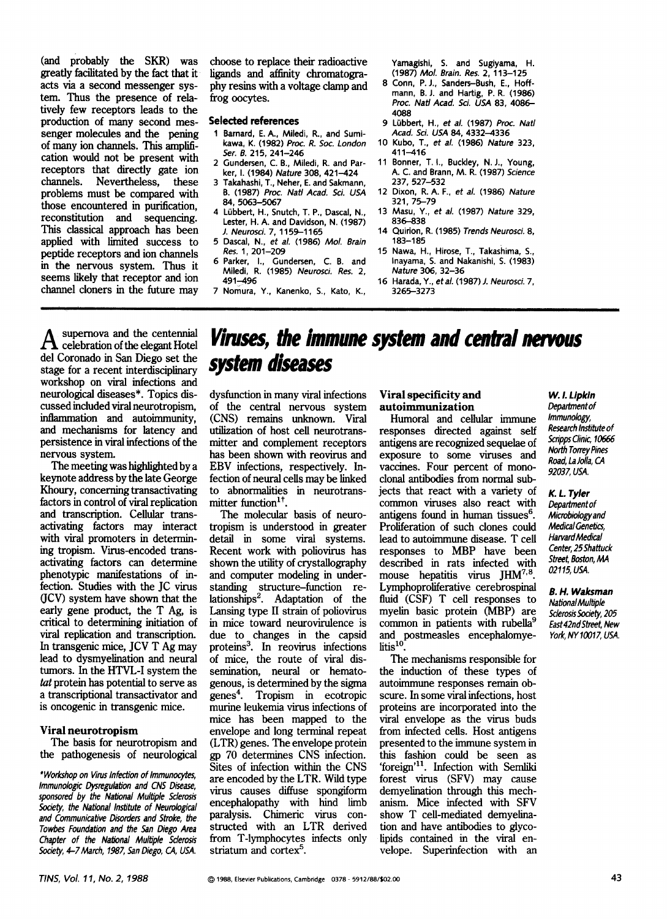(and probably the SKR) was greatly facilitated by the fact that it acts via a second messenger system. Thus the presence of relatively few receptors leads to the production of many second messenger molecules and the pening of many ion channels. This amplification would not be **present** with receptors that directly gate ion channels. Nevertheless, these problems must be compared with those encountered in purification, reconstitution and sequencing. This classical approach has been applied with limited success to peptide receptors and ion channels in the nervous system. Thus it seems likely that receptor and ion channel cloners in the future may

choose to replace their radioactive ligands and affinity chromatography resins with a voltage clamp and frog oocytes.

### **Selected references**

- **1 Barnard, E.A., Miledi, R., and Sumikawa, K.** (1982) *Proc. R. Soc. London Ser. B.* 215, 241-246
- **2 Gundersen, C. B., Miledi, R. and Parker, I.** (1984) *Nature* 308, 421-424
- 3 Takahashi, T., Neher, E. and Sakmann, B. (1987) *Proc. Nat/Acad. Sci. USA*  84, 5063-5067
- 4 Lübbert, H., Snutch, T. P., Dascal, N., **Lester, H. A. and Davidson, N.** (1987) *J. Neurosci.* 7, 1159-1165
- 5 Dascal, N., eta/. (1986) *MoL Brain Res.* 1,201-209
- 6 Parker, I., Gundersen, C. B. and Miledi, R. (1985) *Neurosci. Res.* 2, 491-496
- 7 Nomura, Y., Kanenko, S., Kato, K.,

Yamagishi, S. and Sugiyama, H. (1987) *tHol. Brain. Res.* 2, 113-125

- 8 Conn, P.J., Sanders-Bush, E., Hoffmann, B.J. and Hartig, P. R. (1986) *Proc. Nat/Acad. Sci. USA* 83, 4086- 4088
- 9 L0bbert, H., *et al.* (1987) *Proc. Natl Acad. Sci. USA* 84, 4332-4336
- 10 Kubo, T., *et aL* (1986) *Nature* 323, 411-416
- 11 Bonner, T.I., Buckley, N.J., Young, **A. C. and Brann, M. R.** (1987) *Science*  237, 527-532
- 12 Dixon, R. A. F., *et al.* (1986) *Nature*  321, 75-79
- 13 Masu, Y., et al. (1987) Nature 329, 836-838
- 14 Quirion, R. (1985) *Trends Neurosci.* 8, **183-185**
- 15 Nawa, H., Hirose, T., Takashima, S., Inayama, S. and Nakanishi, S. (1983) *Nature* 306, 32-36
- 16 **Harada, Y.,** *etaL* (1987) J. *Neurosci. 7,*  3265-3273

supernova and the centennial  $\overline{\mathbf{A}}$  celebration of the elegant Hotel del Coronado in San Diego set the stage for a recent interdisciplinary workshop on viral infections and neurological diseases\*. Topics discussed included viral neurotropism, inflammation and autoimmunity, and mechanisms for latency and persistence in viral infections of the nervous system.

The meeting was highlighted by a keynote address by the late George Khoury, concerning transactivating factors in control of viral replication and transcription. Cellular transactivating factors may interact with viral promoters in determining tropism. Virus-encoded transactivating factors can determine phenotypic manifestations of infection. Studies with the JC virus (JCV) system have shown that the early gene product, the T Ag, is critical to determining initiation of viral replication and transcription. In transgenic mice, JCV T Ag may lead to dysmyelination and neural tumors. In the HTVL-I system the tat protein has potential to serve as a transcriptional transactivator and is oncogenic in transgenic mice.

# Viral **neurotropism**

The basis for neurotropism and the pathogenesis of neurological

*"Workshop on Virus Infection of Immunoc)rtes, Immunologic Dysregulation and CNS Disease, sponsored by the Nabonal Multip/e Sclerosis Society, the Nationd Institute of Neuro/ogica/ and Communicative Disorders and Stroke, the Towbes Foundation and the San Diego Area Chapter of the Naffond Mu/tip/e 5derosis 5ociety, 4-7 March, 1987, San Diego, CA, USA.* 

# *Viruses, the immune system and central nervous system diseases*

dysfunction in many viral infections of the central nervous system (CNS) remains unknown. Viral utilization of host cell neurotransmitter and complement receptors has been shown with reovirus and EBV infections, respectively. Infection of neural cells may be linked to abnormalities in neurotransmitter function $1^{\dagger}$ .

The molecular basis of neurotropism is understood in greater detail in some viral systems. Recent work with poliovirus has shown the utility of crystallography and computer modeling in understanding structure-function relationships<sup>2</sup>. Adaptation of the Lansing type II strain of poliovirus in mice toward neurovirulence is due to changes in the capsid proteins<sup>3</sup>. In reovirus infections of mice, the route of viral dissemination, neural or hematogenous, is determined by the sigma<br>genes<sup>4</sup>. Tropism in ecotropic Tropism in ecotropic murine leukemia virus infections of mice has been mapped to the envelope and long terminal repeat (LTR) genes. The envelope protein gp 70 determines CNS infection. Sites of infection within the CNS are encoded by the LTR. Wild type virus causes diffuse spongiform encephalopathy with hind limb paralysis. Chimeric virus constructed with an LTR derived from T-lymphocytes infects only striatum and cortex<sup>5</sup>.

## **Viral specificity and autoimmunization**

Humoral and cellular immune responses directed against self antigens are recognized sequelae of exposure to some viruses and vaccines. Four percent of monodonal antibodies from normal subjects that react with a variety of common viruses also react with antigens found in human tissues<sup>6</sup>. Proliferation of such clones could lead to autoimmune disease. T cell responses to MBP have been described in rats infected with mouse hepatitis virus  $JHM^{7,8}$ . Lymphoproliferative cerebrospinal fluid (CSF) T cell responses to myelin basic protein (MBP) are common in patients with rubella<sup>9</sup> and postmeasles encephalomyelitis $^{10}$ .

The mechanisms responsible for the induction of these types of autoimmune responses remain obscure. In some viral infections, host proteins are incorporated into the viral envelope as the virus buds from infected cells. Host antigens presented to the immune system in this fashion could be seen as 'foreign'<sup>11</sup>. Infection with Semliki forest virus (SFV) may cause demyelination through this mechanism. Mice infected with SFV show T cell-mediated demyelination and have antibodies to glycolipids contained in the viral envelope. Superinfection with an

#### *W. L Lipkin Departmentof Immunology*, *Research Institute of 5aipps Clinic, 10656 North Torrey Pines Road, La Jolla, CA*

*92037, USA.* 

*K. L. Tyler Department of Microbio/ogy and MedicalGenetics,*  **Harvard Medical** *Center, 25 5hattuck Street, Boston, MA 02115, USA.* 

*B. H. Waksman*  **National Multiple** Sclerosis Society, 205 *East 42nd Street, New York, NY 10017, USA.*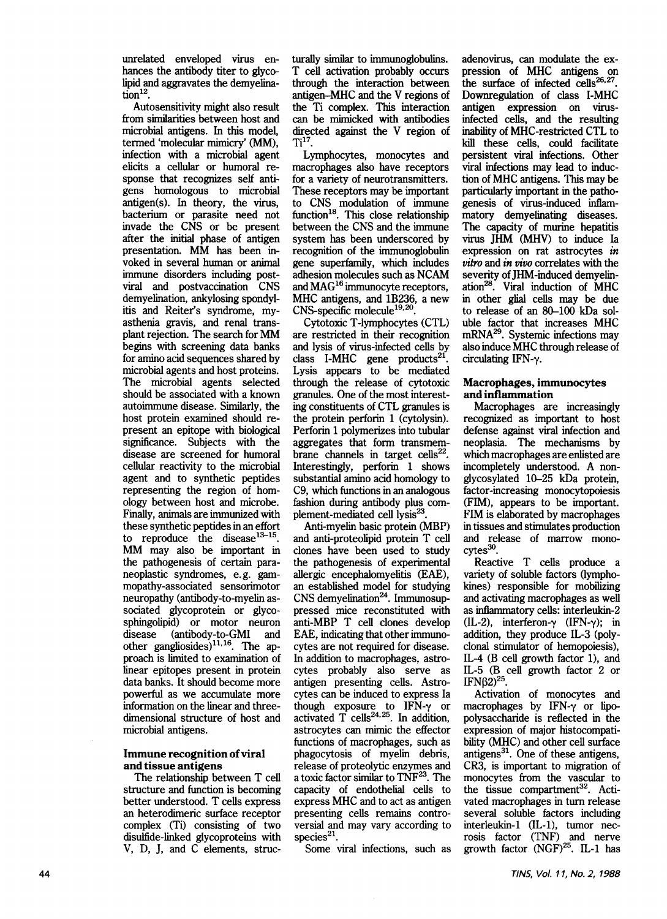unrelated enveloped virus **enhances** the antibody titer to glycolipid and aggravates the demyelina $tion<sup>12</sup>$ .

Autosensitivity might also result from similarities between host and microbial antigens. In this model, termed 'molecular mimicry' (MM), infection with a microbial agent elicits a cellular or humoral response that recognizes self antigens homologous to microbial antigen(s). In theory, the virus, bacterium or parasite need not invade the CNS or be present after the initial phase of antigen presentation. MM has been invoked in several human or animal immune disorders including postviral and postvaccination CNS demyelination, ankylosing spondylitis and Reiter's syndrome, myasthenia gravis, and renal transplant rejection. The search for MM begins with screening data banks for amino acid sequences shared by microbial agents and host proteins. The microbial agents selected should be associated with a known autoimmune disease. Similarly, the host protein examined should represent an epitope with biological significance. Subjects with the disease are screened for humoral cellular reactivity to the microbial agent and to synthetic peptides representing the region of homology between host and microbe. Finally, animals are immunized with these synthetic peptides in an effort to reproduce the disease $13-15$ . MM may also be important in the pathogenesis of certain paraneoplastic syndromes, e.g. gammopathy-associated sensorimotor neuropathy (antibody-to-myelin associated glycoprotein or glycosphingolipid) or motor neuron disease (antibody-to-GMI and other gangliosides) $^{11,16}$ . The approach is limited to examination of linear epitopes present in protein data banks. It should become more powerful as we accumulate more information on the linear and threedimensional structure of host and microbial antigens.

## **Immune recognition of viral and tissue antigens**

The relationship between T cell structure and function is becoming better understood. T cells express an heterodimeric surface receptor complex (Ti) consisting of two disulfide-linked glycoproteins with V, D, J, and C elements, structurally similar to immunoglobulins. T cell activation probably occurs through the interaction **between**  antigen-MHC and the V regions of the Ti complex. This interaction can be mimicked with antibodies directed against the V region of  $Ti<sup>17</sup>$ .

Lymphocytes, monocytes and macrophages also have receptors for a variety of neurotransmitters. These receptors may be important to CNS modulation of immune function<sup>18</sup>. This close relationship between the CNS and the immune system has been underscored by recognition of the immunoglobulin gene superfamily, which includes adhesion molecules such as NCAM and  $MAG^{16}$  immunocyte receptors, MHC antigens, and 1B236, a new CNS-specific molecule<sup>19,20</sup>.

Cytotoxic T-lymphocytes (CTL) are restricted in their recognition and lysis of virus-infected cells by class I-MHC gene products $^{21}$ . Lysis appears to be mediated through the release of cytotoxic granules. One of the most interesting constituents of CTL granules is the protein perforin 1 (cytolysin). Perforin 1 polymerizes into tubular aggregates that form transmembrane channels in target cells $^{22}$ . Interestingly, perforin 1 shows substantial amino acid homology to C9, which functions in an analogous fashion during antibody plus complement-mediated cell lysis<sup>23</sup>

Anti-myelin basic protein (MBP) and anti-proteolipid protein T cell clones have been used to study the pathogenesis of experimental allergic encephalomyelitis (EAE), an established model for studying  $CNS$  demyelination<sup>24</sup>. Immunosuppressed mice reconstituted with anti-MBP T cell clones develop EAE, indicating that other immunocytes **are not** required for disease. In addition to macrophages, astrocytes probably also serve as antigen presenting cells. Astrocytes can be induced to express Ia though exposure to IFN-7 or activated T cells<sup>24,25</sup>. In addition, astrocytes can mimic the effector functions of macrophages, such as phagocytosis of myelin debris, release of proteolytic enzymes and a toxic factor similar to TNF<sup>23</sup>. The capacity of endothelial cells to express MHC and to act as antigen presenting cells remains controversial and may vary according to species $^{21}$ .

Some viral infections, such as

adenovirus, can modulate the expression of MHC antigens on the surface of infected cells $^{26,27}$ . Downregulation of class I-MHC **antigen** expression on virusinfected cells, and the resulting **inability** of MHC-restricted CTL to kill these cells, could facilitate persistent viral infections. Other viral infections may lead to induction of MHC antigens. This may be particularly important in the pathogenesis of virus-induced inflammatory demyelinating diseases. The capacity of murine hepatitis virus JHM (MHV) to induce Ia expression on rat astrocytes *in vitro and in vivo* correlates with the severity of JHM-induced demyelination<sup>28</sup>. Viral induction of MHC in other glial cells may be due to release of an 80-100 kDa soluble factor that increases MHC mRNA<sup>29</sup>. Systemic infections may also induce MHC through release of circulating IFN-y.

## **Macrophages, immunocytes and inflammation**

Macrophages are increasingly recognized as important to host defense against viral infection and neoplasia. The mechanisms by which macrophages are enlisted are incompletely understood. A nonglycosylated 10-25 kDa protein, factor-increasing monocytopoiesis (FIM), appears to be important. FLM is elaborated by macrophages in tissues and stimulates production and release of marrow mono $cytes^{30}$ .

Reactive T cells produce a variety of soluble factors (lymphokines) responsible for mobilizing and activating macrophages as well as inflammatory cells: interleukin-2 (IL-2), interferon- $\gamma$  (IFN- $\gamma$ ); in addition, they produce IL-3 (polyclonal stimulator of hemopoiesis), IL-4 (B cell growth factor 1), and IL-5 (B cell growth factor 2 or IFN $\beta$ 2)<sup>25</sup>.

Activation of monocytes and macrophages by IFN-y or lipopolysaccharide is reflected in the expression of major histocompatibility (MHC) and other cell surface antigens $^{31}$ . One of these antigens, CR3, is important to migration of monocytes from the vascular to the tissue compartment<sup>32</sup>. Activated macrophages in turn release several soluble factors including interleukin-1 (IL-I), tumor necrosis factor (TNF) and nerve growth factor  $(NGF)^{25}$ . IL-1 has